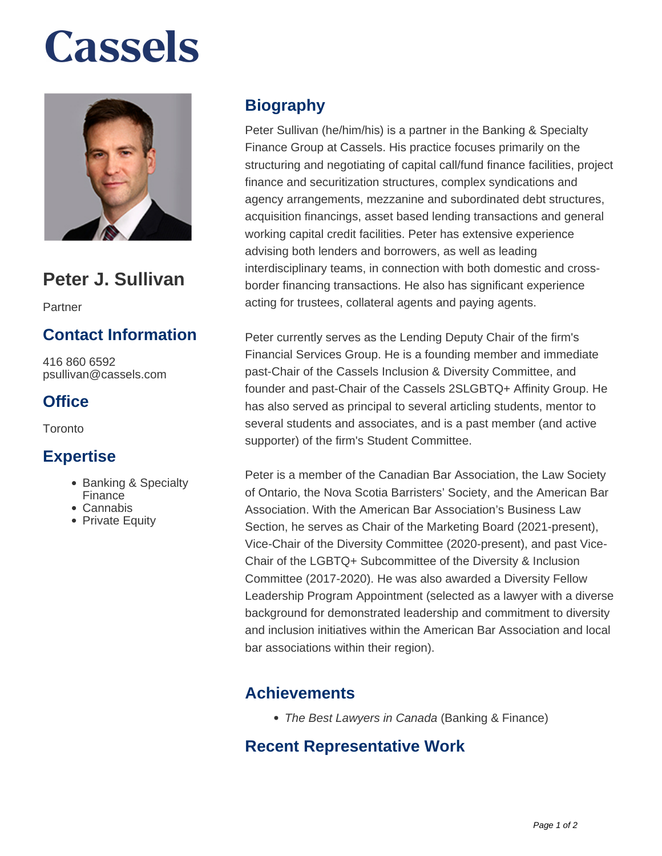# **Cassels**



## **Peter J. Sullivan**

Partner

### **Contact Information**

416 860 6592 psullivan@cassels.com

#### **Office**

**Toronto** 

#### **Expertise**

- Banking & Specialty Finance
- Cannabis
- Private Equity

### **Biography**

Peter Sullivan (he/him/his) is a partner in the Banking & Specialty Finance Group at Cassels. His practice focuses primarily on the structuring and negotiating of capital call/fund finance facilities, project finance and securitization structures, complex syndications and agency arrangements, mezzanine and subordinated debt structures, acquisition financings, asset based lending transactions and general working capital credit facilities. Peter has extensive experience advising both lenders and borrowers, as well as leading interdisciplinary teams, in connection with both domestic and crossborder financing transactions. He also has significant experience acting for trustees, collateral agents and paying agents.

Peter currently serves as the Lending Deputy Chair of the firm's Financial Services Group. He is a founding member and immediate past-Chair of the Cassels Inclusion & Diversity Committee, and founder and past-Chair of the Cassels 2SLGBTQ+ Affinity Group. He has also served as principal to several articling students, mentor to several students and associates, and is a past member (and active supporter) of the firm's Student Committee.

Peter is a member of the Canadian Bar Association, the Law Society of Ontario, the Nova Scotia Barristers' Society, and the American Bar Association. With the American Bar Association's Business Law Section, he serves as Chair of the Marketing Board (2021-present), Vice-Chair of the Diversity Committee (2020-present), and past Vice-Chair of the LGBTQ+ Subcommittee of the Diversity & Inclusion Committee (2017-2020). He was also awarded a Diversity Fellow Leadership Program Appointment (selected as a lawyer with a diverse background for demonstrated leadership and commitment to diversity and inclusion initiatives within the American Bar Association and local bar associations within their region).

#### **Achievements**

• The Best Lawyers in Canada (Banking & Finance)

#### **Recent Representative Work**